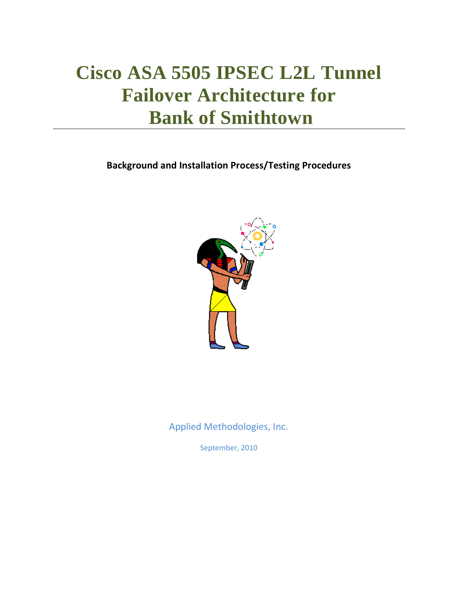# **Cisco ASA 5505 IPSEC L2L Tunnel Failover Architecture for Bank of Smithtown**

**Background and Installation Process/Testing Procedures**



Applied Methodologies, Inc.

September, 2010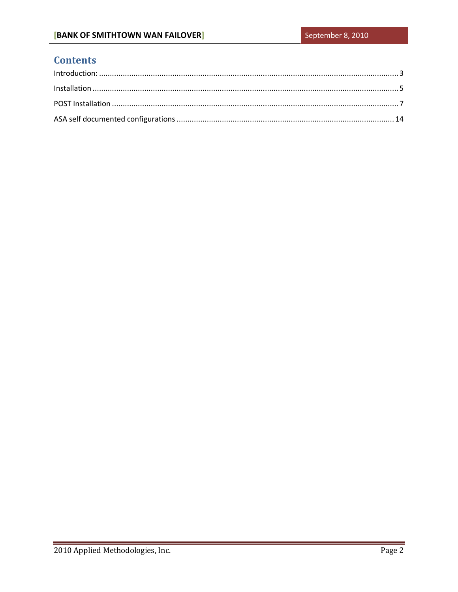## **Contents**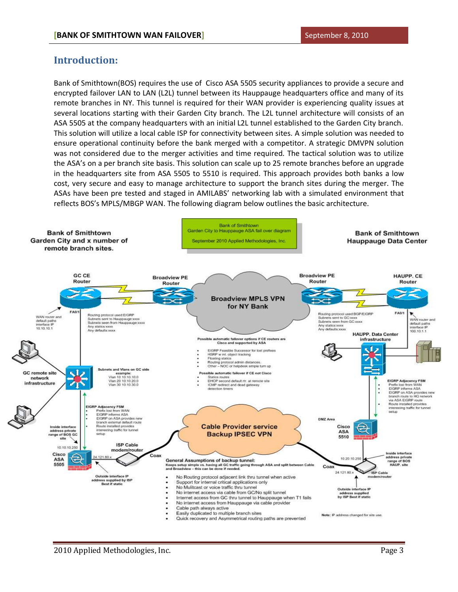### <span id="page-2-0"></span>**Introduction:**

Bank of Smithtown(BOS) requires the use of Cisco ASA 5505 security appliances to provide a secure and encrypted failover LAN to LAN (L2L) tunnel between its Hauppauge headquarters office and many of its remote branches in NY. This tunnel is required for their WAN provider is experiencing quality issues at several locations starting with their Garden City branch. The L2L tunnel architecture will consists of an ASA 5505 at the company headquarters with an initial L2L tunnel established to the Garden City branch. This solution will utilize a local cable ISP for connectivity between sites. A simple solution was needed to ensure operational continuity before the bank merged with a competitor. A strategic DMVPN solution was not considered due to the merger activities and time required. The tactical solution was to utilize the ASA's on a per branch site basis. This solution can scale up to 25 remote branches before an upgrade in the headquarters site from ASA 5505 to 5510 is required. This approach provides both banks a low cost, very secure and easy to manage architecture to support the branch sites during the merger. The ASAs have been pre tested and staged in AMILABS' networking lab with a simulated environment that reflects BOS's MPLS/MBGP WAN. The following diagram below outlines the basic architecture.

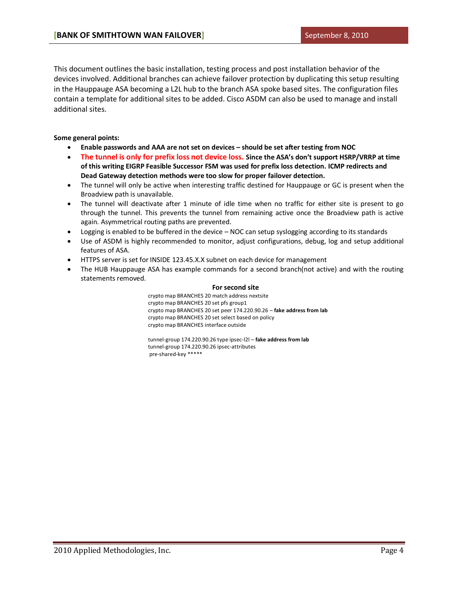This document outlines the basic installation, testing process and post installation behavior of the devices involved. Additional branches can achieve failover protection by duplicating this setup resulting in the Hauppauge ASA becoming a L2L hub to the branch ASA spoke based sites. The configuration files contain a template for additional sites to be added. Cisco ASDM can also be used to manage and install additional sites.

### **Some general points:**

- **Enable passwords and AAA are not set on devices – should be set after testing from NOC**
- **The tunnel is only for prefix loss not device loss. Since the ASA's don't support HSRP/VRRP at time of this writing EIGRP Feasible Successor FSM was used for prefix loss detection. ICMP redirects and Dead Gateway detection methods were too slow for proper failover detection.**
- The tunnel will only be active when interesting traffic destined for Hauppauge or GC is present when the Broadview path is unavailable.
- The tunnel will deactivate after 1 minute of idle time when no traffic for either site is present to go through the tunnel. This prevents the tunnel from remaining active once the Broadview path is active again. Asymmetrical routing paths are prevented.
- Logging is enabled to be buffered in the device NOC can setup syslogging according to its standards
- Use of ASDM is highly recommended to monitor, adjust configurations, debug, log and setup additional features of ASA.
- HTTPS server is set for INSIDE 123.45.X.X subnet on each device for management
- <span id="page-3-0"></span>• The HUB Hauppauge ASA has example commands for a second branch(not active) and with the routing statements removed.

### **For second site**

crypto map BRANCHES 20 match address nextsite crypto map BRANCHES 20 set pfs group1 crypto map BRANCHES 20 set peer 174.220.90.26 – **fake address from lab** crypto map BRANCHES 20 set select based on policy crypto map BRANCHES interface outside

tunnel-group 174.220.90.26 type ipsec-l2l – **fake address from lab** tunnel-group 174.220.90.26 ipsec-attributes pre-shared-key \*\*\*\*\*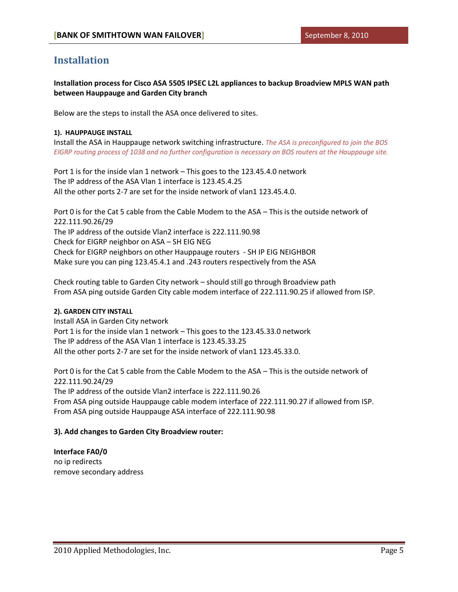### **Installation**

**Installation process for Cisco ASA 5505 IPSEC L2L appliances to backup Broadview MPLS WAN path between Hauppauge and Garden City branch**

Below are the steps to install the ASA once delivered to sites.

### **1). HAUPPAUGE INSTALL**

Install the ASA in Hauppauge network switching infrastructure. *The ASA is preconfigured to join the BOS EIGRP routing process of 1038 and no further configuration is necessary on BOS routers at the Hauppauge site.*

Port 1 is for the inside vlan 1 network – This goes to the 123.45.4.0 network The IP address of the ASA Vlan 1 interface is 123.45.4.25 All the other ports 2-7 are set for the inside network of vlan1 123.45.4.0.

Port 0 is for the Cat 5 cable from the Cable Modem to the ASA – This is the outside network of 222.111.90.26/29 The IP address of the outside Vlan2 interface is 222.111.90.98 Check for EIGRP neighbor on ASA – SH EIG NEG Check for EIGRP neighbors on other Hauppauge routers - SH IP EIG NEIGHBOR Make sure you can ping 123.45.4.1 and .243 routers respectively from the ASA

Check routing table to Garden City network – should still go through Broadview path From ASA ping outside Garden City cable modem interface of 222.111.90.25 if allowed from ISP.

### **2). GARDEN CITY INSTALL**

Install ASA in Garden City network Port 1 is for the inside vlan 1 network – This goes to the 123.45.33.0 network The IP address of the ASA Vlan 1 interface is 123.45.33.25 All the other ports 2-7 are set for the inside network of vlan1 123.45.33.0.

Port 0 is for the Cat 5 cable from the Cable Modem to the ASA – This is the outside network of 222.111.90.24/29 The IP address of the outside Vlan2 interface is 222.111.90.26 From ASA ping outside Hauppauge cable modem interface of 222.111.90.27 if allowed from ISP. From ASA ping outside Hauppauge ASA interface of 222.111.90.98

### **3). Add changes to Garden City Broadview router:**

### **Interface FA0/0**

no ip redirects remove secondary address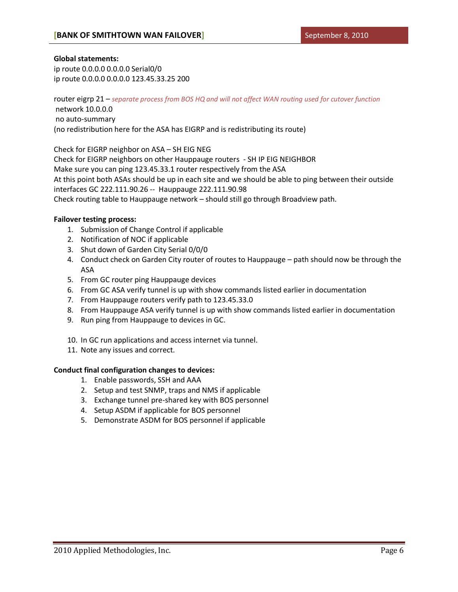### **Global statements:**

ip route 0.0.0.0 0.0.0.0 Serial0/0 ip route 0.0.0.0 0.0.0.0 123.45.33.25 200

router eigrp 21 – *separate process from BOS HQ and will not affect WAN routing used for cutover function* network 10.0.0.0 no auto-summary (no redistribution here for the ASA has EIGRP and is redistributing its route)

Check for EIGRP neighbor on ASA – SH EIG NEG

Check for EIGRP neighbors on other Hauppauge routers - SH IP EIG NEIGHBOR Make sure you can ping 123.45.33.1 router respectively from the ASA At this point both ASAs should be up in each site and we should be able to ping between their outside interfaces GC 222.111.90.26 -- Hauppauge 222.111.90.98 Check routing table to Hauppauge network – should still go through Broadview path.

### **Failover testing process:**

- 1. Submission of Change Control if applicable
- 2. Notification of NOC if applicable
- 3. Shut down of Garden City Serial 0/0/0
- 4. Conduct check on Garden City router of routes to Hauppauge path should now be through the ASA
- 5. From GC router ping Hauppauge devices
- 6. From GC ASA verify tunnel is up with show commands listed earlier in documentation
- 7. From Hauppauge routers verify path to 123.45.33.0
- 8. From Hauppauge ASA verify tunnel is up with show commands listed earlier in documentation
- 9. Run ping from Hauppauge to devices in GC.
- 10. In GC run applications and access internet via tunnel.
- 11. Note any issues and correct.

### **Conduct final configuration changes to devices:**

- 1. Enable passwords, SSH and AAA
- 2. Setup and test SNMP, traps and NMS if applicable
- 3. Exchange tunnel pre-shared key with BOS personnel
- 4. Setup ASDM if applicable for BOS personnel
- <span id="page-5-0"></span>5. Demonstrate ASDM for BOS personnel if applicable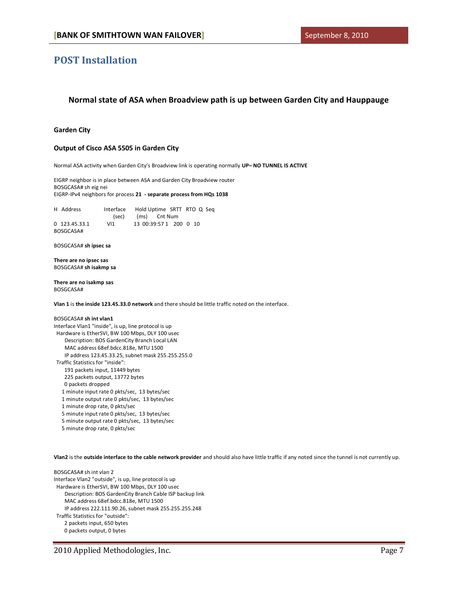### **POST Installation**

### **Normal state of ASA when Broadview path is up between Garden City and Hauppauge**

#### **Garden City**

#### **Output of Cisco ASA 5505 in Garden City**

Normal ASA activity when Garden City's Broadview link is operating normally **UP– NO TUNNEL IS ACTIVE**

EIGRP neighbor is in place between ASA and Garden City Broadview router BOSGCASA# sh eig nei EIGRP-IPv4 neighbors for process **21 - separate process from HQs 1038**

H Address Interface Hold Uptime SRTT RTO Q Seq (sec) (ms) Cnt Num 0 123.45.33.1 Vl1 13 00:39:57 1 200 0 10 BOSGCASA#

BOSGCASA# **sh ipsec sa**

**There are no ipsec sas** BOSGCASA# **sh isakmp sa**

**There are no isakmp sas** BOSGCASA#

**Vlan 1** is **the inside 123.45.33.0 network** and there should be little traffic noted on the interface.

#### BOSGCASA# **sh int vlan1**

Interface Vlan1 "inside", is up, line protocol is up Hardware is EtherSVI, BW 100 Mbps, DLY 100 usec Description: BOS GardenCity Branch Local LAN MAC address 68ef.bdcc.818e, MTU 1500 IP address 123.45.33.25, subnet mask 255.255.255.0 Traffic Statistics for "inside": 191 packets input, 11449 bytes 225 packets output, 13772 bytes 0 packets dropped 1 minute input rate 0 pkts/sec, 13 bytes/sec 1 minute output rate 0 pkts/sec, 13 bytes/sec 1 minute drop rate, 0 pkts/sec 5 minute input rate 0 pkts/sec, 13 bytes/sec 5 minute output rate 0 pkts/sec, 13 bytes/sec

5 minute drop rate, 0 pkts/sec

**Vlan2** is the **outside interface to the cable network provider** and should also have little traffic if any noted since the tunnel is not currently up.

BOSGCASA# sh int vlan 2 Interface Vlan2 "outside", is up, line protocol is up Hardware is EtherSVI, BW 100 Mbps, DLY 100 usec Description: BOS GardenCity Branch Cable ISP backup link MAC address 68ef.bdcc.818e, MTU 1500 IP address 222.111.90.26, subnet mask 255.255.255.248 Traffic Statistics for "outside": 2 packets input, 650 bytes 0 packets output, 0 bytes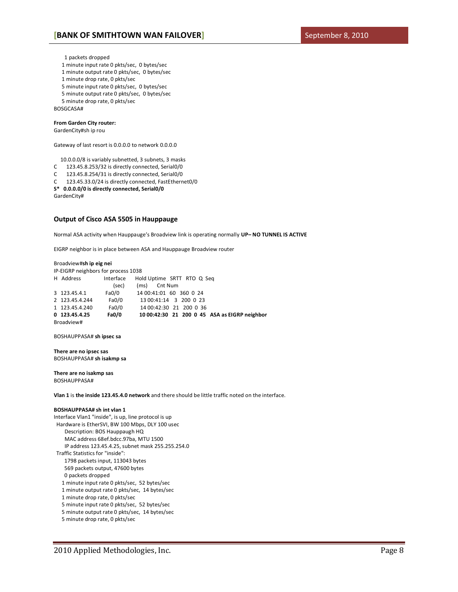1 packets dropped

- 1 minute input rate 0 pkts/sec, 0 bytes/sec
- 1 minute output rate 0 pkts/sec, 0 bytes/sec
- 1 minute drop rate, 0 pkts/sec
- 5 minute input rate 0 pkts/sec, 0 bytes/sec
- 5 minute output rate 0 pkts/sec, 0 bytes/sec
- 5 minute drop rate, 0 pkts/sec

BOSGCASA#

### **From Garden City router:**

### GardenCity#sh ip rou

Gateway of last resort is 0.0.0.0 to network 0.0.0.0

10.0.0.0/8 is variably subnetted, 3 subnets, 3 masks

- C 123.45.8.253/32 is directly connected, Serial0/0
- C 123.45.8.254/31 is directly connected, Serial0/0
- C 123.45.33.0/24 is directly connected, FastEthernet0/0

**S\* 0.0.0.0/0 is directly connected, Serial0/0**

GardenCity#

#### **Output of Cisco ASA 5505 in Hauppauge**

Normal ASA activity when Hauppauge's Broadview link is operating normally **UP– NO TUNNEL IS ACTIVE**

EIGRP neighbor is in place between ASA and Hauppauge Broadview router

#### Broadview#**sh ip eig nei**

| IP-EIGRP neighbors for process 1038 |                |           |                                               |  |  |
|-------------------------------------|----------------|-----------|-----------------------------------------------|--|--|
|                                     | H Address      | Interface | Hold Uptime SRTT RTO Q Seq                    |  |  |
|                                     |                | (sec)     | (ms)<br>Cnt Num                               |  |  |
|                                     | 3 123.45.4.1   | Fa0/0     | 14 00:41:01 60 360 0 24                       |  |  |
|                                     | 2 123.45.4.244 | Fa0/0     | 13 00:41:14 3 200 0 23                        |  |  |
|                                     | 1 123.45.4.240 | Fa0/0     | 14 00:42:30 21 200 0 36                       |  |  |
|                                     | 0 123.45.4.25  | Fa0/0     | 10 00:42:30 21 200 0 45 ASA as EIGRP neighbor |  |  |
| Broadview#                          |                |           |                                               |  |  |

BOSHAUPPASA# **sh ipsec sa**

**There are no ipsec sas** BOSHAUPPASA# **sh isakmp sa**

**There are no isakmp sas** BOSHAUPPASA#

**Vlan 1** is **the inside 123.45.4.0 network** and there should be little traffic noted on the interface.

#### **BOSHAUPPASA# sh int vlan 1**

Interface Vlan1 "inside", is up, line protocol is up Hardware is EtherSVI, BW 100 Mbps, DLY 100 usec Description: BOS Hauppaugh HQ MAC address 68ef.bdcc.97ba, MTU 1500 IP address 123.45.4.25, subnet mask 255.255.254.0 Traffic Statistics for "inside": 1798 packets input, 113043 bytes 569 packets output, 47600 bytes 0 packets dropped 1 minute input rate 0 pkts/sec, 52 bytes/sec 1 minute output rate 0 pkts/sec, 14 bytes/sec

- 1 minute drop rate, 0 pkts/sec
- 5 minute input rate 0 pkts/sec, 52 bytes/sec
- 5 minute output rate 0 pkts/sec, 14 bytes/sec
- 5 minute drop rate, 0 pkts/sec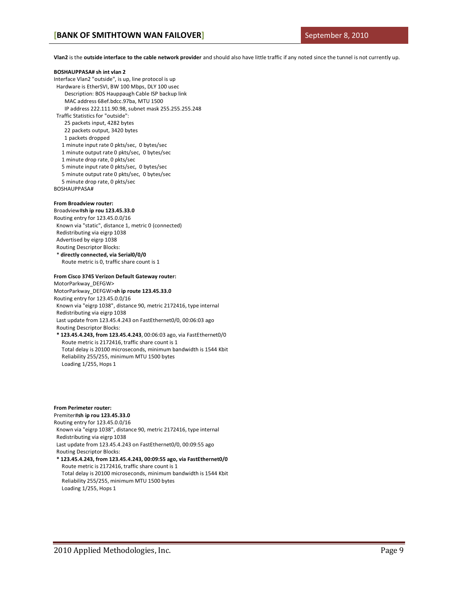**Vlan2** is the **outside interface to the cable network provider** and should also have little traffic if any noted since the tunnel is not currently up.

#### **BOSHAUPPASA# sh int vlan 2**

Interface Vlan2 "outside", is up, line protocol is up

Hardware is EtherSVI, BW 100 Mbps, DLY 100 usec

Description: BOS Hauppaugh Cable ISP backup link

MAC address 68ef.bdcc.97ba, MTU 1500

IP address 222.111.90.98, subnet mask 255.255.255.248

Traffic Statistics for "outside":

25 packets input, 4282 bytes

22 packets output, 3420 bytes

1 packets dropped

 1 minute input rate 0 pkts/sec, 0 bytes/sec 1 minute output rate 0 pkts/sec, 0 bytes/sec

1 minute drop rate, 0 pkts/sec

- 5 minute input rate 0 pkts/sec, 0 bytes/sec
- 5 minute output rate 0 pkts/sec, 0 bytes/sec 5 minute drop rate, 0 pkts/sec

BOSHAUPPASA#

### **From Broadview router:**

Broadview#**sh ip rou 123.45.33.0** Routing entry for 123.45.0.0/16 Known via "static", distance 1, metric 0 (connected) Redistributing via eigrp 1038 Advertised by eigrp 1038 Routing Descriptor Blocks: \* **directly connected, via Serial0/0/0**

Route metric is 0, traffic share count is 1

### **From Cisco 3745 Verizon Default Gateway router:**

MotorParkway\_DEFGW> MotorParkway\_DEFGW>**sh ip route 123.45.33.0** Routing entry for 123.45.0.0/16 Known via "eigrp 1038", distance 90, metric 2172416, type internal Redistributing via eigrp 1038 Last update from 123.45.4.243 on FastEthernet0/0, 00:06:03 ago Routing Descriptor Blocks:  **\* 123.45.4.243, from 123.45.4.243**, 00:06:03 ago, via FastEthernet0/0 Route metric is 2172416, traffic share count is 1 Total delay is 20100 microseconds, minimum bandwidth is 1544 Kbit Reliability 255/255, minimum MTU 1500 bytes

#### **From Perimeter router:**

Loading 1/255, Hops 1

#### Premiter#**sh ip rou 123.45.33.0**

Routing entry for 123.45.0.0/16 Known via "eigrp 1038", distance 90, metric 2172416, type internal Redistributing via eigrp 1038 Last update from 123.45.4.243 on FastEthernet0/0, 00:09:55 ago Routing Descriptor Blocks:  **\* 123.45.4.243, from 123.45.4.243, 00:09:55 ago, via FastEthernet0/0**

 Route metric is 2172416, traffic share count is 1 Total delay is 20100 microseconds, minimum bandwidth is 1544 Kbit Reliability 255/255, minimum MTU 1500 bytes Loading 1/255, Hops 1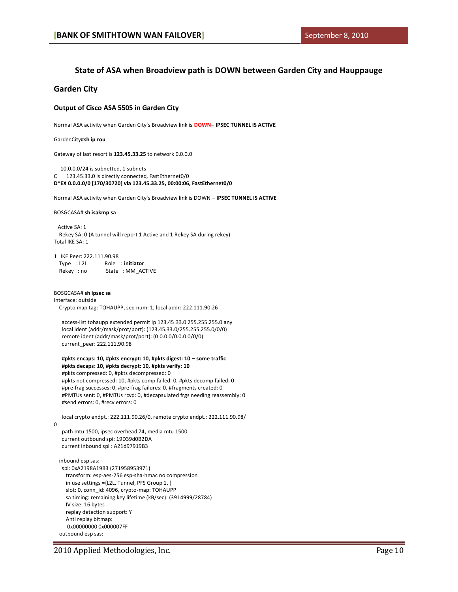### **State of ASA when Broadview path is DOWN between Garden City and Hauppauge**

### **Garden City**

#### **Output of Cisco ASA 5505 in Garden City**

Normal ASA activity when Garden City's Broadview link is **DOWN– IPSEC TUNNEL IS ACTIVE**

GardenCity#**sh ip rou**

Gateway of last resort is **123.45.33.25** to network 0.0.0.0

 10.0.0.0/24 is subnetted, 1 subnets C 123.45.33.0 is directly connected, FastEthernet0/0 **D\*EX 0.0.0.0/0 [170/30720] via 123.45.33.25, 00:00:06, FastEthernet0/0** 

Normal ASA activity when Garden City's Broadview link is DOWN – **IPSEC TUNNEL IS ACTIVE**

#### BOSGCASA# **sh isakmp sa**

 Active SA: 1 Rekey SA: 0 (A tunnel will report 1 Active and 1 Rekey SA during rekey) Total IKE SA: 1

1 IKE Peer: 222.111.90.98 Type : L2L Role : **initiator** Rekey : no State : MM\_ACTIVE

BOSGCASA# **sh ipsec sa** interface: outside Crypto map tag: TOHAUPP, seq num: 1, local addr: 222.111.90.26

 access-list tohaupp extended permit ip 123.45.33.0 255.255.255.0 any local ident (addr/mask/prot/port): (123.45.33.0/255.255.255.0/0/0) remote ident (addr/mask/prot/port): (0.0.0.0/0.0.0.0/0/0) current\_peer: 222.111.90.98

 **#pkts encaps: 10, #pkts encrypt: 10, #pkts digest: 10 – some traffic #pkts decaps: 10, #pkts decrypt: 10, #pkts verify: 10** #pkts compressed: 0, #pkts decompressed: 0 #pkts not compressed: 10, #pkts comp failed: 0, #pkts decomp failed: 0 #pre-frag successes: 0, #pre-frag failures: 0, #fragments created: 0 #PMTUs sent: 0, #PMTUs rcvd: 0, #decapsulated frgs needing reassembly: 0 #send errors: 0, #recv errors: 0

 local crypto endpt.: 222.111.90.26/0, remote crypto endpt.: 222.111.90.98/ path mtu 1500, ipsec overhead 74, media mtu 1500 current outbound spi: 19D39d0B2DA

current inbound spi : A21d97919B3

 $\Omega$ 

 inbound esp sas: spi: 0xA2198A19B3 (271958953971) transform: esp-aes-256 esp-sha-hmac no compression in use settings ={L2L, Tunnel, PFS Group 1, } slot: 0, conn\_id: 4096, crypto-map: TOHAUPP sa timing: remaining key lifetime (kB/sec): (3914999/28784) IV size: 16 bytes replay detection support: Y Anti replay bitmap: 0x00000000 0x000007FF outbound esp sas: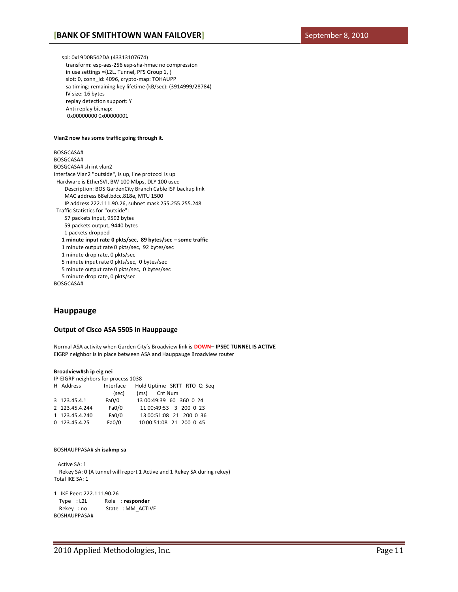spi: 0x19D0B542DA (43313107674) transform: esp-aes-256 esp-sha-hmac no compression in use settings ={L2L, Tunnel, PFS Group 1, } slot: 0, conn\_id: 4096, crypto-map: TOHAUPP sa timing: remaining key lifetime (kB/sec): (3914999/28784) IV size: 16 bytes replay detection support: Y Anti replay bitmap: 0x00000000 0x00000001

#### **Vlan2 now has some traffic going through it.**

BOSGCASA# BOSGCASA# BOSGCASA# sh int vlan2 Interface Vlan2 "outside", is up, line protocol is up Hardware is EtherSVI, BW 100 Mbps, DLY 100 usec Description: BOS GardenCity Branch Cable ISP backup link MAC address 68ef.bdcc.818e, MTU 1500 IP address 222.111.90.26, subnet mask 255.255.255.248 Traffic Statistics for "outside": 57 packets input, 9592 bytes 59 packets output, 9440 bytes 1 packets dropped  **1 minute input rate 0 pkts/sec, 89 bytes/sec – some traffic** 1 minute output rate 0 pkts/sec, 92 bytes/sec 1 minute drop rate, 0 pkts/sec 5 minute input rate 0 pkts/sec, 0 bytes/sec 5 minute output rate 0 pkts/sec, 0 bytes/sec 5 minute drop rate, 0 pkts/sec

BOSGCASA#

### **Hauppauge**

#### **Output of Cisco ASA 5505 in Hauppauge**

Normal ASA activity when Garden City's Broadview link is **DOWN– IPSEC TUNNEL IS ACTIVE** EIGRP neighbor is in place between ASA and Hauppauge Broadview router

#### **Broadview#sh ip eig nei**

IP-EIGRP neighbors for process 1038

| H Address      | Interface | Hold Uptime SRTT RTO Q Seq |
|----------------|-----------|----------------------------|
|                | (sec)     | (ms) Cnt Num               |
| 3 123.45.4.1   | Fa0/0     | 13 00:49:39 60 360 0 24    |
| 2 123.45.4.244 | Fa0/0     | 11 00:49:53 3 200 0 23     |
| 1 123.45.4.240 | Fa0/0     | 13 00:51:08 21 200 0 36    |
| 0 123.45.4.25  | FaO/O     | 10 00:51:08 21 200 0 45    |

#### BOSHAUPPASA# **sh isakmp sa**

 Active SA: 1 Rekey SA: 0 (A tunnel will report 1 Active and 1 Rekey SA during rekey) Total IKE SA: 1

```
1 IKE Peer: 222.111.90.26
  Type : L2L Role : responder
  Rekey : no State : MM_ACTIVE
BOSHAUPPASA#
```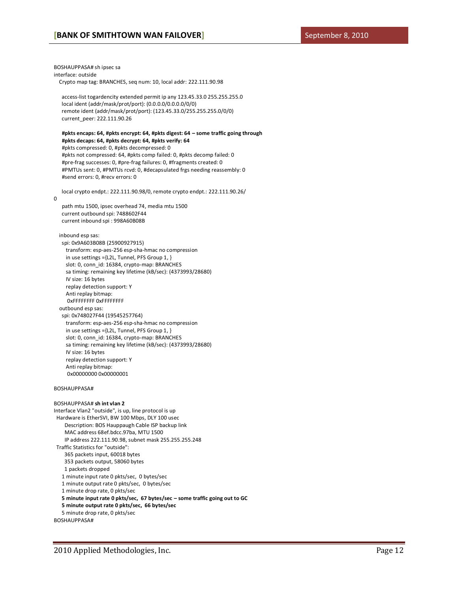BOSHAUPPASA# sh ipsec sa interface: outside Crypto map tag: BRANCHES, seq num: 10, local addr: 222.111.90.98 access-list togardencity extended permit ip any 123.45.33.0 255.255.255.0 local ident (addr/mask/prot/port): (0.0.0.0/0.0.0.0/0/0) remote ident (addr/mask/prot/port): (123.45.33.0/255.255.255.0/0/0) current\_peer: 222.111.90.26  **#pkts encaps: 64, #pkts encrypt: 64, #pkts digest: 64 – some traffic going through #pkts decaps: 64, #pkts decrypt: 64, #pkts verify: 64** #pkts compressed: 0, #pkts decompressed: 0 #pkts not compressed: 64, #pkts comp failed: 0, #pkts decomp failed: 0 #pre-frag successes: 0, #pre-frag failures: 0, #fragments created: 0 #PMTUs sent: 0, #PMTUs rcvd: 0, #decapsulated frgs needing reassembly: 0 #send errors: 0, #recv errors: 0 local crypto endpt.: 222.111.90.98/0, remote crypto endpt.: 222.111.90.26/ 0 path mtu 1500, ipsec overhead 74, media mtu 1500 current outbound spi: 7488602F44 current inbound spi : 998A60B08B inbound esp sas: spi: 0x9A603B08B (25900927915) transform: esp-aes-256 esp-sha-hmac no compression in use settings ={L2L, Tunnel, PFS Group 1, } slot: 0, conn\_id: 16384, crypto-map: BRANCHES sa timing: remaining key lifetime (kB/sec): (4373993/28680) IV size: 16 bytes replay detection support: Y Anti replay bitmap: 0xFFFFFFFF 0xFFFFFFFF outbound esp sas: spi: 0x748027F44 (19545257764) transform: esp-aes-256 esp-sha-hmac no compression in use settings ={L2L, Tunnel, PFS Group 1, } slot: 0, conn\_id: 16384, crypto-map: BRANCHES sa timing: remaining key lifetime (kB/sec): (4373993/28680) IV size: 16 bytes replay detection support: Y Anti replay bitmap: 0x00000000 0x00000001 BOSHAUPPASA# BOSHAUPPASA# **sh int vlan 2** Interface Vlan2 "outside", is up, line protocol is up Hardware is EtherSVI, BW 100 Mbps, DLY 100 usec Description: BOS Hauppaugh Cable ISP backup link MAC address 68ef.bdcc.97ba, MTU 1500 IP address 222.111.90.98, subnet mask 255.255.255.248 Traffic Statistics for "outside": 365 packets input, 60018 bytes 353 packets output, 58060 bytes 1 packets dropped 1 minute input rate 0 pkts/sec, 0 bytes/sec 1 minute output rate 0 pkts/sec, 0 bytes/sec 1 minute drop rate, 0 pkts/sec  **5 minute input rate 0 pkts/sec, 67 bytes/sec – some traffic going out to GC 5 minute output rate 0 pkts/sec, 66 bytes/sec**

5 minute drop rate, 0 pkts/sec

BOSHAUPPASA#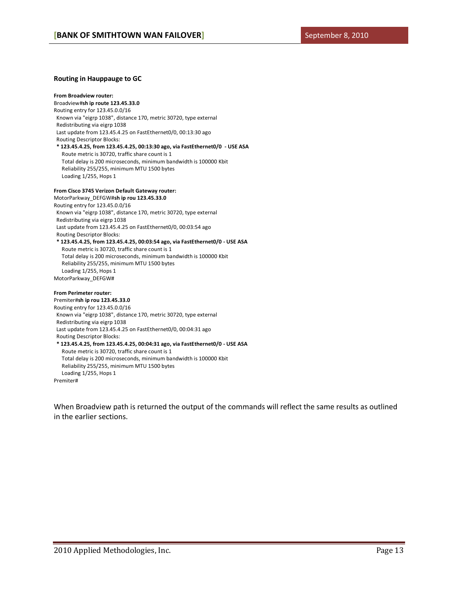#### **Routing in Hauppauge to GC**

**From Broadview router:** Broadview#**sh ip route 123.45.33.0** Routing entry for 123.45.0.0/16 Known via "eigrp 1038", distance 170, metric 30720, type external Redistributing via eigrp 1038 Last update from 123.45.4.25 on FastEthernet0/0, 00:13:30 ago Routing Descriptor Blocks:  **\* 123.45.4.25, from 123.45.4.25, 00:13:30 ago, via FastEthernet0/0 - USE ASA** Route metric is 30720, traffic share count is 1 Total delay is 200 microseconds, minimum bandwidth is 100000 Kbit Reliability 255/255, minimum MTU 1500 bytes Loading 1/255, Hops 1

### **From Cisco 3745 Verizon Default Gateway router:**

MotorParkway\_DEFGW#**sh ip rou 123.45.33.0** Routing entry for 123.45.0.0/16 Known via "eigrp 1038", distance 170, metric 30720, type external Redistributing via eigrp 1038 Last update from 123.45.4.25 on FastEthernet0/0, 00:03:54 ago Routing Descriptor Blocks:  **\* 123.45.4.25, from 123.45.4.25, 00:03:54 ago, via FastEthernet0/0 - USE ASA** Route metric is 30720, traffic share count is 1 Total delay is 200 microseconds, minimum bandwidth is 100000 Kbit Reliability 255/255, minimum MTU 1500 bytes Loading 1/255, Hops 1 MotorParkway\_DEFGW# **From Perimeter router:**

### Premiter#**sh ip rou 123.45.33.0**

Routing entry for 123.45.0.0/16 Known via "eigrp 1038", distance 170, metric 30720, type external Redistributing via eigrp 1038 Last update from 123.45.4.25 on FastEthernet0/0, 00:04:31 ago Routing Descriptor Blocks:  **\* 123.45.4.25, from 123.45.4.25, 00:04:31 ago, via FastEthernet0/0 - USE ASA** Route metric is 30720, traffic share count is 1 Total delay is 200 microseconds, minimum bandwidth is 100000 Kbit Reliability 255/255, minimum MTU 1500 bytes Loading 1/255, Hops 1 Premiter#

<span id="page-12-0"></span>When Broadview path is returned the output of the commands will reflect the same results as outlined in the earlier sections.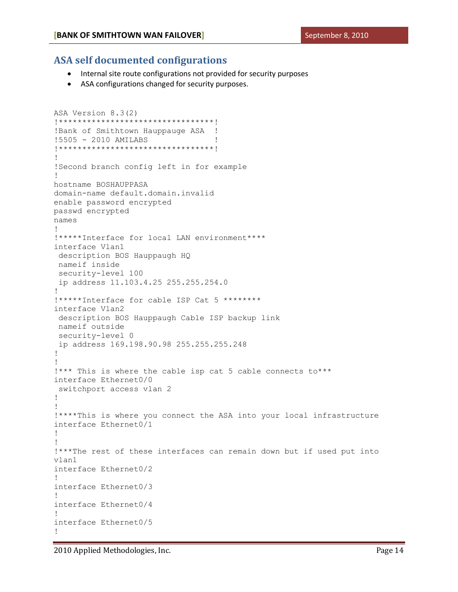### **ASA self documented configurations**

- Internal site route configurations not provided for security purposes
- ASA configurations changed for security purposes.

```
ASA Version 8.3(2)
!*********************************!
! Bank of Smithtown Hauppauge ASA !
!5505 - 2010 AMILABS !
!*********************************!
!
!Second branch config left in for example
!
hostname BOSHAUPPASA
domain-name default.domain.invalid
enable password encrypted
passwd encrypted
names
!
!*****Interface for local LAN environment****
interface Vlan1
 description BOS Hauppaugh HQ
nameif inside
security-level 100
ip address 11.103.4.25 255.255.254.0
!
!*****Interface for cable ISP Cat 5 ********
interface Vlan2
 description BOS Hauppaugh Cable ISP backup link
nameif outside
security-level 0
 ip address 169.198.90.98 255.255.255.248
!
!
!*** This is where the cable isp cat 5 cable connects to***
interface Ethernet0/0
switchport access vlan 2
!
!
!****This is where you connect the ASA into your local infrastructure
interface Ethernet0/1
!
!
!***The rest of these interfaces can remain down but if used put into 
vlan1
interface Ethernet0/2
!
interface Ethernet0/3
!
interface Ethernet0/4
!
interface Ethernet0/5
!
```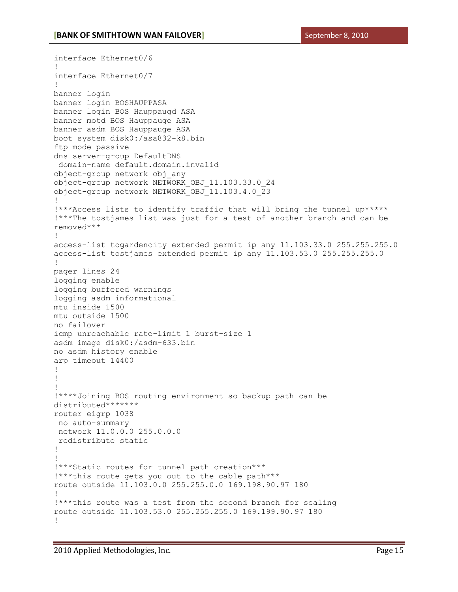```
interface Ethernet0/6
!
interface Ethernet0/7
!
banner login
banner login BOSHAUPPASA
banner login BOS Hauppaugd ASA
banner motd BOS Hauppauge ASA
banner asdm BOS Hauppauge ASA
boot system disk0:/asa832-k8.bin
ftp mode passive
dns server-group DefaultDNS
domain-name default.domain.invalid
object-group network obj_any
object-group network NETWORK_OBJ_11.103.33.0_24
object-group network NETWORK_OBJ_11.103.4.0_23
!
!***Access lists to identify traffic that will bring the tunnel up*****
!***The tostjames list was just for a test of another branch and can be 
removed***
!
access-list togardencity extended permit ip any 11.103.33.0 255.255.255.0
access-list tostjames extended permit ip any 11.103.53.0 255.255.255.0
!
pager lines 24
logging enable
logging buffered warnings
logging asdm informational
mtu inside 1500
mtu outside 1500
no failover
icmp unreachable rate-limit 1 burst-size 1
asdm image disk0:/asdm-633.bin
no asdm history enable
arp timeout 14400
!
!
!
!****Joining BOS routing environment so backup path can be 
distributed*******
router eigrp 1038
no auto-summary
network 11.0.0.0 255.0.0.0
redistribute static
!
!
!***Static routes for tunnel path creation***
!***this route gets you out to the cable path***
route outside 11.103.0.0 255.255.0.0 169.198.90.97 180
!
!***this route was a test from the second branch for scaling 
route outside 11.103.53.0 255.255.255.0 169.199.90.97 180
!
```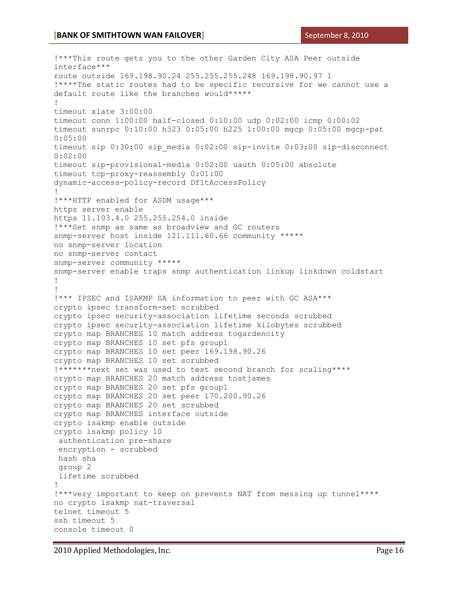```
!***This route gets you to the other Garden City ASA Peer outside 
interface***
route outside 169.198.90.24 255.255.255.248 169.198.90.97 1
!****The static routes had to be specific recursive for we cannot use a 
default route like the branches would*****
!
timeout xlate 3:00:00
timeout conn 1:00:00 half-closed 0:10:00 udp 0:02:00 icmp 0:00:02
timeout sunrpc 0:10:00 h323 0:05:00 h225 1:00:00 mgcp 0:05:00 mgcp-pat 
0:05:00
timeout sip 0:30:00 sip media 0:02:00 sip-invite 0:03:00 sip-disconnect
0:02:00
timeout sip-provisional-media 0:02:00 uauth 0:05:00 absolute
timeout tcp-proxy-reassembly 0:01:00
dynamic-access-policy-record DfltAccessPolicy
!
!***HTTP enabled for ASDM usage***
https server enable
https 11.103.4.0 255.255.254.0 inside
!***Set snmp as same as broadview and GC routers
snmp-server host inside 121.111.60.66 community *****
no snmp-server location
no snmp-server contact
snmp-server community *****
snmp-server enable traps snmp authentication linkup linkdown coldstart
!
!
!*** IPSEC and ISAKMP SA information to peer with GC ASA***
crypto ipsec transform-set scrubbed
crypto ipsec security-association lifetime seconds scrubbed
crypto ipsec security-association lifetime kilobytes scrubbed
crypto map BRANCHES 10 match address togardencity
crypto map BRANCHES 10 set pfs group1
crypto map BRANCHES 10 set peer 169.198.90.26
crypto map BRANCHES 10 set scrubbed
!*******next set was used to test second branch for scaling****
crypto map BRANCHES 20 match address tostjames
crypto map BRANCHES 20 set pfs group1
crypto map BRANCHES 20 set peer 170.200.90.26
crypto map BRANCHES 20 set scrubbed
crypto map BRANCHES interface outside
crypto isakmp enable outside
crypto isakmp policy 10
authentication pre-share
 encryption - scrubbed
hash sha
 group 2
 lifetime scrubbed
!
!***very important to keep on prevents NAT from messing up tunnel****
no crypto isakmp nat-traversal
telnet timeout 5
ssh timeout 5
console timeout 0
```
2010 Applied Methodologies, Inc. Page 16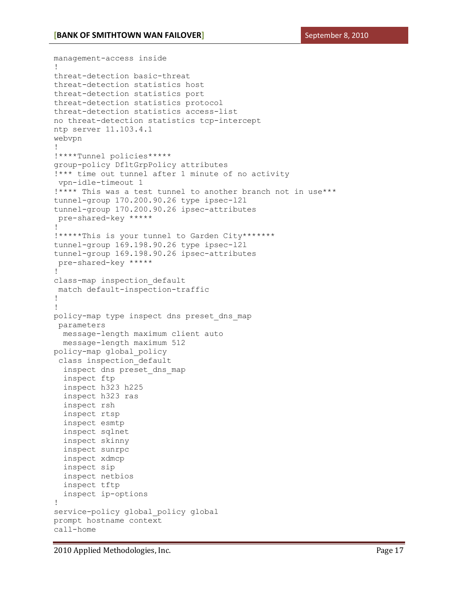```
management-access inside
!
threat-detection basic-threat
threat-detection statistics host
threat-detection statistics port
threat-detection statistics protocol
threat-detection statistics access-list
no threat-detection statistics tcp-intercept
ntp server 11.103.4.1
webvpn
!
!****Tunnel policies*****
group-policy DfltGrpPolicy attributes
!*** time out tunnel after 1 minute of no activity
vpn-idle-timeout 1
!**** This was a test tunnel to another branch not in use***
tunnel-group 170.200.90.26 type ipsec-l2l
tunnel-group 170.200.90.26 ipsec-attributes
pre-shared-key *****
! 
!*****This is your tunnel to Garden City*******
tunnel-group 169.198.90.26 type ipsec-l2l
tunnel-group 169.198.90.26 ipsec-attributes
pre-shared-key *****
!
class-map inspection_default
match default-inspection-traffic
!
!
policy-map type inspect dns preset dns map
parameters
  message-length maximum client auto
  message-length maximum 512
policy-map global_policy
class inspection_default
 inspect dns preset dns map
  inspect ftp
  inspect h323 h225
  inspect h323 ras
  inspect rsh
  inspect rtsp
  inspect esmtp
  inspect sqlnet
  inspect skinny
  inspect sunrpc
  inspect xdmcp
  inspect sip
  inspect netbios
  inspect tftp
  inspect ip-options
!
service-policy global policy global
prompt hostname context
call-home
```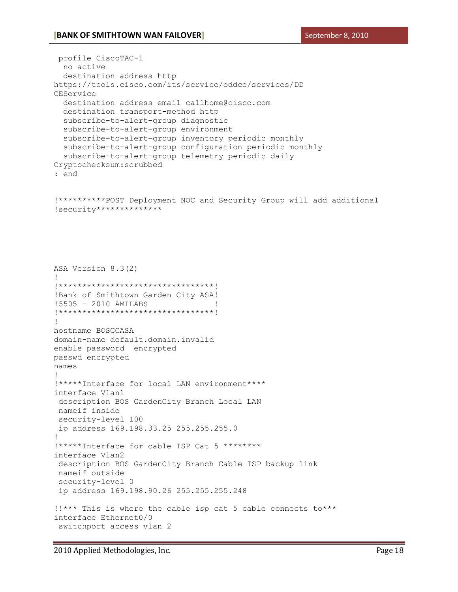profile CiscoTAC-1

```
 no active
   destination address http 
https://tools.cisco.com/its/service/oddce/services/DD
CEService
   destination address email callhome@cisco.com
   destination transport-method http
   subscribe-to-alert-group diagnostic
   subscribe-to-alert-group environment
   subscribe-to-alert-group inventory periodic monthly
   subscribe-to-alert-group configuration periodic monthly
   subscribe-to-alert-group telemetry periodic daily
Cryptochecksum:scrubbed
: end
!**********POST Deployment NOC and Security Group will add additional 
!security**************
ASA Version 8.3(2)
!
!*********************************!
!Bank of Smithtown Garden City ASA!
!5505 - 2010 AMILABS !
!*********************************!
!
hostname BOSGCASA
domain-name default.domain.invalid
enable password encrypted
passwd encrypted
names
!
!*****Interface for local LAN environment****
interface Vlan1
 description BOS GardenCity Branch Local LAN
nameif inside
 security-level 100
 ip address 169.198.33.25 255.255.255.0
!
!*****Interface for cable ISP Cat 5 ********
interface Vlan2
 description BOS GardenCity Branch Cable ISP backup link
 nameif outside
security-level 0
 ip address 169.198.90.26 255.255.255.248
!!*** This is where the cable isp cat 5 cable connects to***
interface Ethernet0/0
switchport access vlan 2
```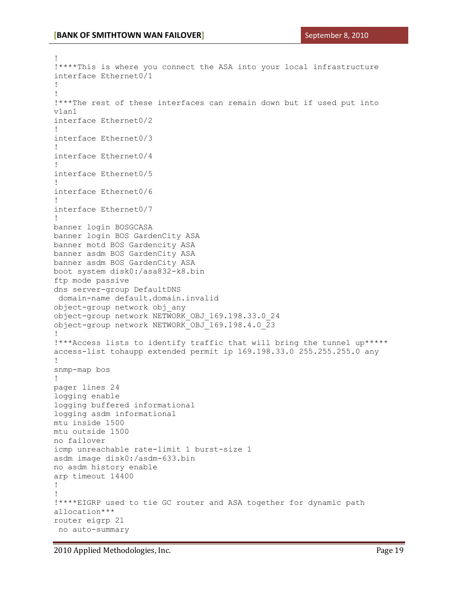!

```
!****This is where you connect the ASA into your local infrastructure
interface Ethernet0/1
!
!
!***The rest of these interfaces can remain down but if used put into 
vlan1
interface Ethernet0/2
!
interface Ethernet0/3
!
interface Ethernet0/4
!
interface Ethernet0/5
!
interface Ethernet0/6
!
interface Ethernet0/7
!
banner login BOSGCASA
banner login BOS GardenCity ASA
banner motd BOS Gardencity ASA
banner asdm BOS GardenCity ASA
banner asdm BOS GardenCity ASA
boot system disk0:/asa832-k8.bin
ftp mode passive
dns server-group DefaultDNS
domain-name default.domain.invalid
object-group network obj_any
object-group network NETWORK_OBJ_169.198.33.0_24
object-group network NETWORK_OBJ_169.198.4.0_23
!
!***Access lists to identify traffic that will bring the tunnel up*****
access-list tohaupp extended permit ip 169.198.33.0 255.255.255.0 any
!
snmp-map bos
!
pager lines 24
logging enable
logging buffered informational
logging asdm informational
mtu inside 1500
mtu outside 1500
no failover
icmp unreachable rate-limit 1 burst-size 1
asdm image disk0:/asdm-633.bin
no asdm history enable
arp timeout 14400
!
!
!****EIGRP used to tie GC router and ASA together for dynamic path 
allocation***
router eigrp 21
no auto-summary
```
2010 Applied Methodologies, Inc. Page 19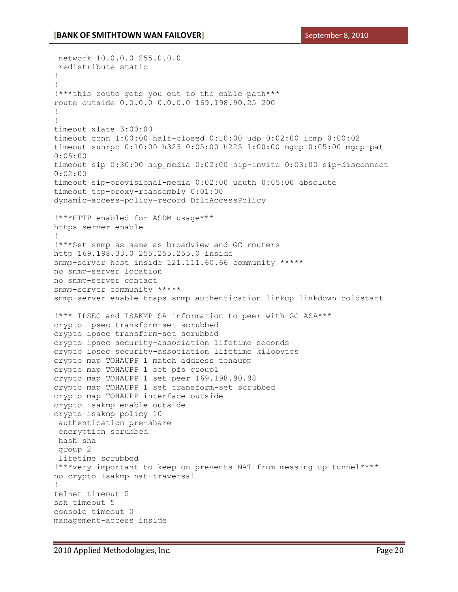network 10.0.0.0 255.0.0.0 redistribute static ! ! !\*\*\*this route gets you out to the cable path\*\*\* route outside 0.0.0.0 0.0.0.0 169.198.90.25 200 ! ! timeout xlate 3:00:00 timeout conn 1:00:00 half-closed 0:10:00 udp 0:02:00 icmp 0:00:02 timeout sunrpc 0:10:00 h323 0:05:00 h225 1:00:00 mgcp 0:05:00 mgcp-pat 0:05:00 timeout sip 0:30:00 sip media 0:02:00 sip-invite 0:03:00 sip-disconnect 0:02:00 timeout sip-provisional-media 0:02:00 uauth 0:05:00 absolute timeout tcp-proxy-reassembly 0:01:00 dynamic-access-policy-record DfltAccessPolicy !\*\*\*HTTP enabled for ASDM usage\*\*\* https server enable ! !\*\*\*Set snmp as same as broadview and GC routers http 169.198.33.0 255.255.255.0 inside snmp-server host inside 121.111.60.66 community \*\*\*\*\* no snmp-server location no snmp-server contact snmp-server community \*\*\*\*\* snmp-server enable traps snmp authentication linkup linkdown coldstart !\*\*\* IPSEC and ISAKMP SA information to peer with GC ASA\*\*\* crypto ipsec transform-set scrubbed crypto ipsec transform-set scrubbed crypto ipsec security-association lifetime seconds crypto ipsec security-association lifetime kilobytes crypto map TOHAUPP 1 match address tohaupp crypto map TOHAUPP 1 set pfs group1 crypto map TOHAUPP 1 set peer 169.198.90.98 crypto map TOHAUPP 1 set transform-set scrubbed crypto map TOHAUPP interface outside crypto isakmp enable outside crypto isakmp policy 10 authentication pre-share encryption scrubbed hash sha group 2 lifetime scrubbed !\*\*\*very important to keep on prevents NAT from messing up tunnel\*\*\*\* no crypto isakmp nat-traversal ! telnet timeout 5 ssh timeout 5 console timeout 0 management-access inside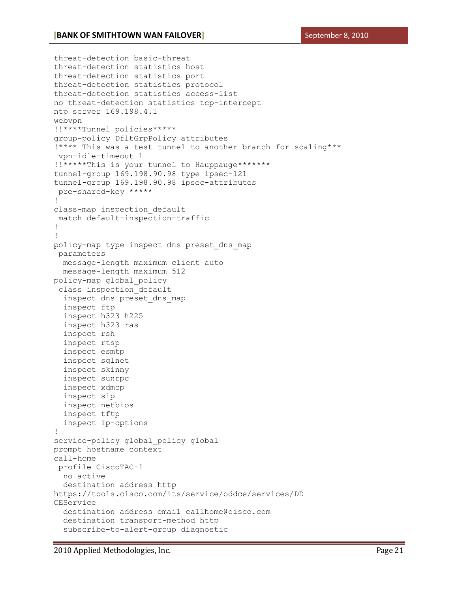```
threat-detection basic-threat
threat-detection statistics host
threat-detection statistics port
threat-detection statistics protocol
threat-detection statistics access-list
no threat-detection statistics tcp-intercept
ntp server 169.198.4.1
webvpn
!!****Tunnel policies*****
group-policy DfltGrpPolicy attributes
!**** This was a test tunnel to another branch for scaling***
vpn-idle-timeout 1
!!*****This is your tunnel to Hauppauge*******
tunnel-group 169.198.90.98 type ipsec-l2l
tunnel-group 169.198.90.98 ipsec-attributes
pre-shared-key *****
!
class-map inspection_default
match default-inspection-traffic
!
!
policy-map type inspect dns preset_dns_map
parameters
  message-length maximum client auto
  message-length maximum 512
policy-map global_policy
 class inspection_default
  inspect dns preset_dns_map
  inspect ftp
  inspect h323 h225
  inspect h323 ras
  inspect rsh
  inspect rtsp
  inspect esmtp
  inspect sqlnet
  inspect skinny
  inspect sunrpc
  inspect xdmcp
  inspect sip
  inspect netbios
  inspect tftp
   inspect ip-options
!
service-policy global policy global
prompt hostname context
call-home
profile CiscoTAC-1
  no active
  destination address http 
https://tools.cisco.com/its/service/oddce/services/DD
CEService
  destination address email callhome@cisco.com
  destination transport-method http
   subscribe-to-alert-group diagnostic
```